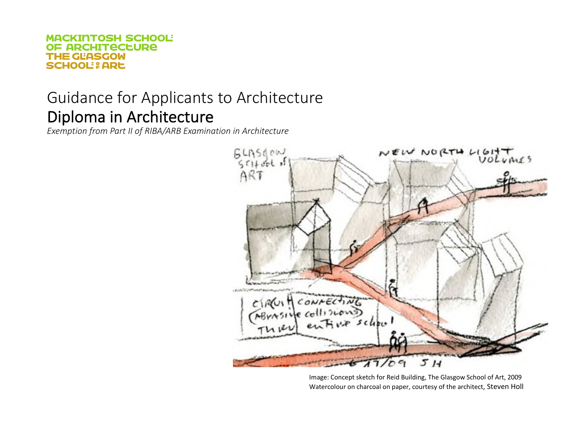# Guidance for Applicants to Architecture Diploma in Architecture

*Exemption from Part II of RIBA/ARB Examination in Architecture*



Image: Concept sketch for Reid Building, The Glasgow School of Art, 2009 Watercolour on charcoal on paper, courtesy of the architect, Steven Holl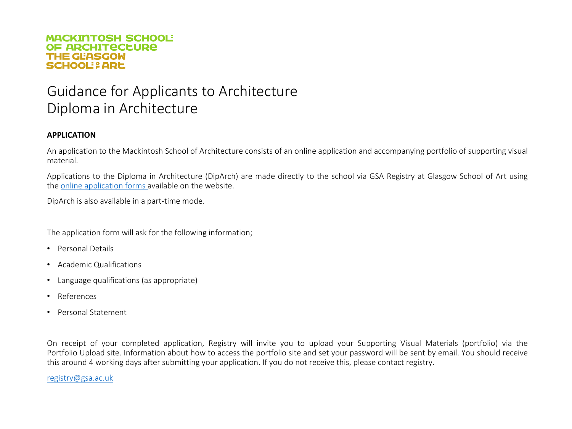## Guidance for Applicants to Architecture Diploma in Architecture

#### **APPLICATION**

An application to the Mackintosh School of Architecture consists of an online application and accompanying portfolio of supporting visual material.

Applications to the Diploma in Architecture (DipArch) are made directly to the school via GSA Registry at Glasgow School of Art using the online [application](https://www.gsa.ac.uk/study/graduate-degrees/how-to-apply/online-application-form-architecture/) forms available on the website.

DipArch is also available in a part-time mode.

The application form will ask for the following information;

- Personal Details
- Academic Qualifications
- Language qualifications (as appropriate)
- References
- Personal Statement

On receipt of your completed application, Registry will invite you to upload your Supporting Visual Materials (portfolio) via the Portfolio Upload site. Information about how to access the portfolio site and set your password will be sent by email. You should receive this around 4 working days after submitting your application. If you do not receive this, please contact registry.

[registry@gsa.ac.uk](mailto:registry@gsa.ac.uk)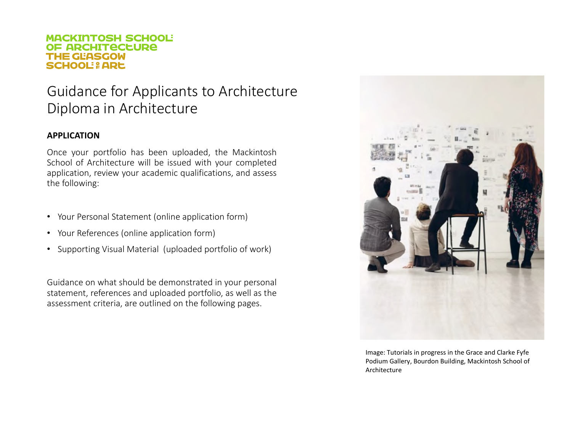## Guidance for Applicants to Architecture Diploma in Architecture

### **APPLICATION**

Once your portfolio has been uploaded, the Mackintosh School of Architecture will be issued with your completed application, review your academic qualifications, and assess the following:

- Your Personal Statement (online application form)
- Your References (online application form)
- Supporting Visual Material (uploaded portfolio of work)

Guidance on what should be demonstrated in your personal statement, references and uploaded portfolio, as well as the assessment criteria, are outlined on the following pages.



Image: Tutorials in progress in the Grace and Clarke Fyfe Podium Gallery, Bourdon Building, Mackintosh School of Architecture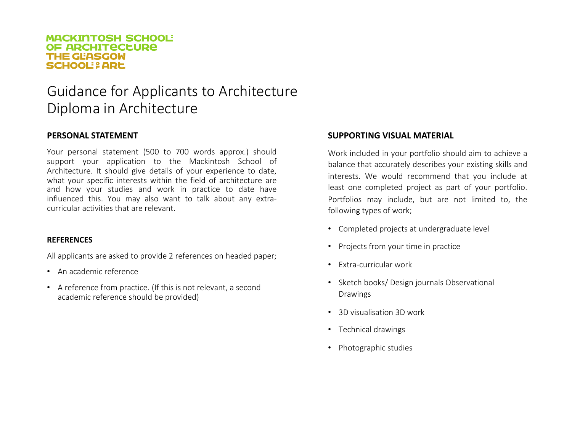### Guidance for Applicants to Architecture Diploma in Architecture

### **PERSONAL STATEMENT**

Your personal statement (500 to 700 words approx.) should support your application to the Mackintosh School of Architecture. It should give details of your experience to date, what your specific interests within the field of architecture are and how your studies and work in practice to date have influenced this. You may also want to talk about any extracurricular activities that are relevant.

#### **REFERENCES**

All applicants are asked to provide 2 references on headed paper;

- An academic reference
- A reference from practice. (If this is not relevant, a second academic reference should be provided)

### **SUPPORTING VISUAL MATERIAL**

Work included in your portfolio should aim to achieve a balance that accurately describes your existing skills and interests. We would recommend that you include at least one completed project as part of your portfolio. Portfolios may include, but are not limited to, the following types of work;

- Completed projects at undergraduate level
- Projects from your time in practice
- Extra-curricular work
- Sketch books/ Design journals Observational Drawings
- 3D visualisation 3D work
- Technical drawings
- Photographic studies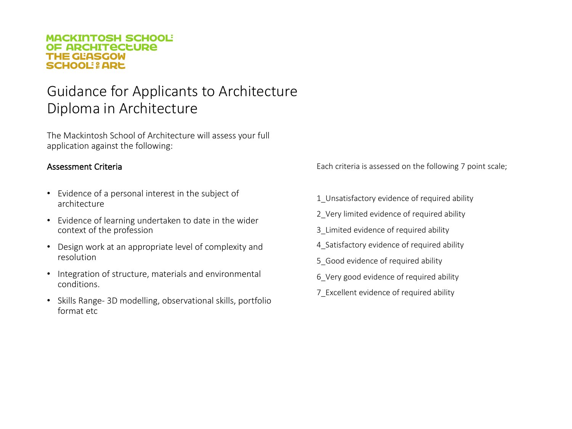## Guidance for Applicants to Architecture Diploma in Architecture

The Mackintosh School of Architecture will assess your full application against the following:

### Assessment Criteria

- Evidence of a personal interest in the subject of architecture
- Evidence of learning undertaken to date in the wider context of the profession
- Design work at an appropriate level of complexity and resolution
- Integration of structure, materials and environmental conditions.
- Skills Range- 3D modelling, observational skills, portfolio format etc

Each criteria is assessed on the following 7 point scale;

- 1 Unsatisfactory evidence of required ability
- 2\_Very limited evidence of required ability
- 3\_Limited evidence of required ability
- 4 Satisfactory evidence of required ability
- 5 Good evidence of required ability
- 6\_Very good evidence of required ability
- 7\_Excellent evidence of required ability